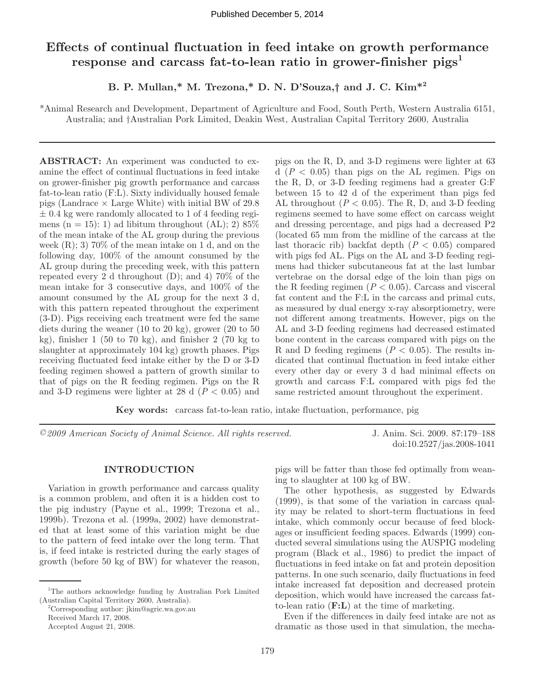# **Effects of continual fluctuation in feed intake on growth performance response and carcass fat-to-lean ratio in grower-finisher pigs1**

**B. P. Mullan,\* M. Trezona,\* D. N. D'Souza,† and J. C. Kim\*2**

\*Animal Research and Development, Department of Agriculture and Food, South Perth, Western Australia 6151, Australia; and †Australian Pork Limited, Deakin West, Australian Capital Territory 2600, Australia

**ABSTRACT:** An experiment was conducted to examine the effect of continual fluctuations in feed intake on grower-finisher pig growth performance and carcass fat-to-lean ratio (F:L). Sixty individually housed female pigs (Landrace  $\times$  Large White) with initial BW of 29.8  $\pm$  0.4 kg were randomly allocated to 1 of 4 feeding regimens (n = 15): 1) ad libitum throughout (AL); 2)  $85\%$ of the mean intake of the AL group during the previous week  $(R)$ ; 3) 70% of the mean intake on 1 d, and on the following day, 100% of the amount consumed by the AL group during the preceding week, with this pattern repeated every 2 d throughout (D); and 4) 70% of the mean intake for 3 consecutive days, and 100% of the amount consumed by the AL group for the next 3 d, with this pattern repeated throughout the experiment (3-D). Pigs receiving each treatment were fed the same diets during the weaner (10 to 20 kg), grower (20 to 50 kg), finisher  $1$  (50 to 70 kg), and finisher  $2$  (70 kg to slaughter at approximately 104 kg) growth phases. Pigs receiving fluctuated feed intake either by the D or 3-D feeding regimen showed a pattern of growth similar to that of pigs on the R feeding regimen. Pigs on the R and 3-D regimens were lighter at 28 d  $(P < 0.05)$  and pigs on the R, D, and 3-D regimens were lighter at 63  $d$   $(P < 0.05)$  than pigs on the AL regimen. Pigs on the R, D, or 3-D feeding regimens had a greater G:F between 15 to 42 d of the experiment than pigs fed AL throughout  $(P < 0.05)$ . The R, D, and 3-D feeding regimens seemed to have some effect on carcass weight and dressing percentage, and pigs had a decreased P2 (located 65 mm from the midline of the carcass at the last thoracic rib) backfat depth  $(P < 0.05)$  compared with pigs fed AL. Pigs on the AL and 3-D feeding regimens had thicker subcutaneous fat at the last lumbar vertebrae on the dorsal edge of the loin than pigs on the R feeding regimen  $(P < 0.05)$ . Carcass and visceral fat content and the F:L in the carcass and primal cuts, as measured by dual energy x-ray absorptiometry, were not different among treatments. However, pigs on the AL and 3-D feeding regimens had decreased estimated bone content in the carcass compared with pigs on the R and D feeding regimens  $(P < 0.05)$ . The results indicated that continual fluctuation in feed intake either every other day or every 3 d had minimal effects on growth and carcass F:L compared with pigs fed the same restricted amount throughout the experiment.

**Key words:** carcass fat-to-lean ratio, intake fluctuation, performance, pig

*©2009 American Society of Animal Science. All rights reserved.* J. Anim. Sci. 2009. 87:179–188

doi:10.2527/jas.2008-1041

# **INTRODUCTION**

Variation in growth performance and carcass quality is a common problem, and often it is a hidden cost to the pig industry (Payne et al., 1999; Trezona et al., 1999b). Trezona et al. (1999a, 2002) have demonstrated that at least some of this variation might be due to the pattern of feed intake over the long term. That is, if feed intake is restricted during the early stages of growth (before 50 kg of BW) for whatever the reason,

2 Corresponding author: jkim@agric.wa.gov.au Received March 17, 2008. Accepted August 21, 2008.

pigs will be fatter than those fed optimally from weaning to slaughter at 100 kg of BW.

The other hypothesis, as suggested by Edwards (1999), is that some of the variation in carcass quality may be related to short-term fluctuations in feed intake, which commonly occur because of feed blockages or insufficient feeding spaces. Edwards (1999) conducted several simulations using the AUSPIG modeling program (Black et al., 1986) to predict the impact of fluctuations in feed intake on fat and protein deposition patterns. In one such scenario, daily fluctuations in feed intake increased fat deposition and decreased protein deposition, which would have increased the carcass fatto-lean ratio (**F:L**) at the time of marketing.

Even if the differences in daily feed intake are not as dramatic as those used in that simulation, the mecha-

<sup>&</sup>lt;sup>1</sup>The authors acknowledge funding by Australian Pork Limited (Australian Capital Territory 2600, Australia).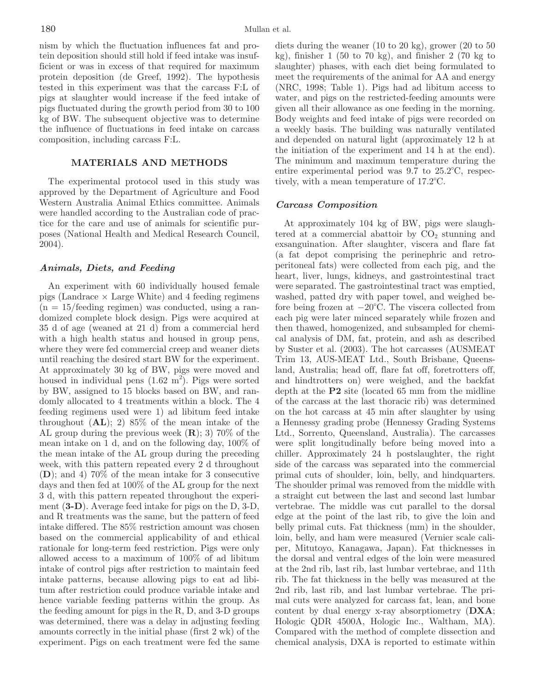nism by which the fluctuation influences fat and protein deposition should still hold if feed intake was insufficient or was in excess of that required for maximum protein deposition (de Greef, 1992). The hypothesis tested in this experiment was that the carcass F:L of pigs at slaughter would increase if the feed intake of pigs fluctuated during the growth period from 30 to 100 kg of BW. The subsequent objective was to determine the influence of fluctuations in feed intake on carcass composition, including carcass F:L.

# **MATERIALS AND METHODS**

The experimental protocol used in this study was approved by the Department of Agriculture and Food Western Australia Animal Ethics committee. Animals were handled according to the Australian code of practice for the care and use of animals for scientific purposes (National Health and Medical Research Council, 2004).

# *Animals, Diets, and Feeding*

An experiment with 60 individually housed female pigs (Landrace  $\times$  Large White) and 4 feeding regimens  $(n = 15/\text{feeding region})$  was conducted, using a randomized complete block design. Pigs were acquired at 35 d of age (weaned at 21 d) from a commercial herd with a high health status and housed in group pens, where they were fed commercial creep and weaner diets until reaching the desired start BW for the experiment. At approximately 30 kg of BW, pigs were moved and housed in individual pens  $(1.62 \text{ m}^2)$ . Pigs were sorted by BW, assigned to 15 blocks based on BW, and randomly allocated to 4 treatments within a block. The 4 feeding regimens used were 1) ad libitum feed intake throughout (**AL**); 2) 85% of the mean intake of the AL group during the previous week (**R**); 3) 70% of the mean intake on 1 d, and on the following day, 100% of the mean intake of the AL group during the preceding week, with this pattern repeated every 2 d throughout (**D**); and 4) 70% of the mean intake for 3 consecutive days and then fed at 100% of the AL group for the next 3 d, with this pattern repeated throughout the experiment (**3-D**). Average feed intake for pigs on the D, 3-D, and R treatments was the same, but the pattern of feed intake differed. The 85% restriction amount was chosen based on the commercial applicability of and ethical rationale for long-term feed restriction. Pigs were only allowed access to a maximum of 100% of ad libitum intake of control pigs after restriction to maintain feed intake patterns, because allowing pigs to eat ad libitum after restriction could produce variable intake and hence variable feeding patterns within the group. As the feeding amount for pigs in the R, D, and 3-D groups was determined, there was a delay in adjusting feeding amounts correctly in the initial phase (first 2 wk) of the experiment. Pigs on each treatment were fed the same

diets during the weaner (10 to 20 kg), grower (20 to 50 kg), finisher 1 (50 to 70 kg), and finisher 2 (70 kg to slaughter) phases, with each diet being formulated to meet the requirements of the animal for AA and energy (NRC, 1998; Table 1). Pigs had ad libitum access to water, and pigs on the restricted-feeding amounts were given all their allowance as one feeding in the morning. Body weights and feed intake of pigs were recorded on a weekly basis. The building was naturally ventilated and depended on natural light (approximately 12 h at the initiation of the experiment and 14 h at the end). The minimum and maximum temperature during the entire experimental period was 9.7 to 25.2°C, respectively, with a mean temperature of 17.2°C.

# *Carcass Composition*

At approximately 104 kg of BW, pigs were slaughtered at a commercial abattoir by  $CO<sub>2</sub>$  stunning and exsanguination. After slaughter, viscera and flare fat (a fat depot comprising the perinephric and retroperitoneal fats) were collected from each pig, and the heart, liver, lungs, kidneys, and gastrointestinal tract were separated. The gastrointestinal tract was emptied, washed, patted dry with paper towel, and weighed before being frozen at −20°C. The viscera collected from each pig were later minced separately while frozen and then thawed, homogenized, and subsampled for chemical analysis of DM, fat, protein, and ash as described by Suster et al. (2003). The hot carcasses (AUSMEAT Trim 13, AUS-MEAT Ltd., South Brisbane, Queensland, Australia; head off, flare fat off, foretrotters off, and hindtrotters on) were weighed, and the backfat depth at the **P2** site (located 65 mm from the midline of the carcass at the last thoracic rib) was determined on the hot carcass at 45 min after slaughter by using a Hennessy grading probe (Hennessy Grading Systems Ltd., Sorrento, Queensland, Australia). The carcasses were split longitudinally before being moved into a chiller. Approximately 24 h postslaughter, the right side of the carcass was separated into the commercial primal cuts of shoulder, loin, belly, and hindquarters. The shoulder primal was removed from the middle with a straight cut between the last and second last lumbar vertebrae. The middle was cut parallel to the dorsal edge at the point of the last rib, to give the loin and belly primal cuts. Fat thickness (mm) in the shoulder, loin, belly, and ham were measured (Vernier scale caliper, Mitutoyo, Kanagawa, Japan). Fat thicknesses in the dorsal and ventral edges of the loin were measured at the 2nd rib, last rib, last lumbar vertebrae, and 11th rib. The fat thickness in the belly was measured at the 2nd rib, last rib, and last lumbar vertebrae. The primal cuts were analyzed for carcass fat, lean, and bone content by dual energy x-ray absorptiometry (**DXA**; Hologic QDR 4500A, Hologic Inc., Waltham, MA). Compared with the method of complete dissection and chemical analysis, DXA is reported to estimate within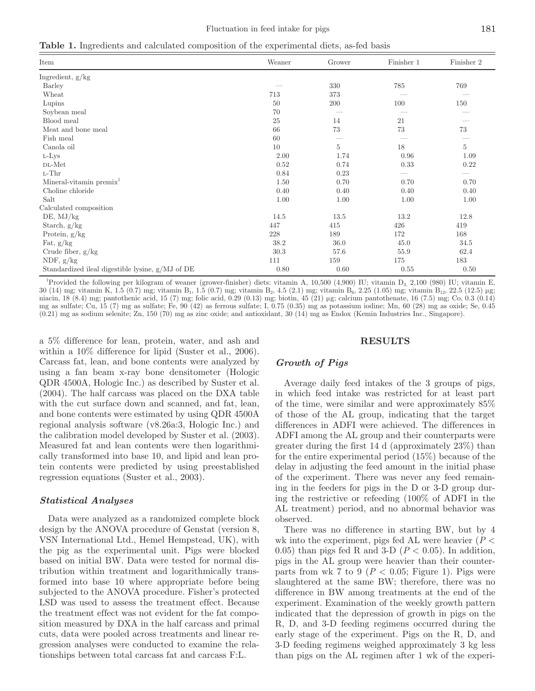**Table 1.** Ingredients and calculated composition of the experimental diets, as-fed basis

| Item                                             | Weaner | Grower         | Finisher 1 | Finisher 2               |
|--------------------------------------------------|--------|----------------|------------|--------------------------|
| Ingredient, $g/kg$                               |        |                |            |                          |
| Barley                                           |        | 330            | 785        | 769                      |
| Wheat                                            | 713    | 373            |            |                          |
| Lupins                                           | 50     | 200            | 100        | 150                      |
| Soybean meal                                     | 70     |                |            |                          |
| Blood meal                                       | 25     | 14             | 21         |                          |
| Meat and bone meal                               | 66     | 73             | 73         | 73                       |
| Fish meal                                        | 60     |                |            | $\overline{\phantom{a}}$ |
| Canola oil                                       | 10     | $\overline{5}$ | 18         | 5                        |
| L-Lys                                            | 2.00   | 1.74           | 0.96       | 1.09                     |
| DL-Met                                           | 0.52   | 0.74           | 0.33       | 0.22                     |
| $L$ -Thr                                         | 0.84   | 0.23           |            |                          |
| Mineral-vitamin premix <sup>1</sup>              | 1.50   | 0.70           | 0.70       | 0.70                     |
| Choline chloride                                 | 0.40   | 0.40           | 0.40       | 0.40                     |
| Salt                                             | 1.00   | 1.00           | 1.00       | 1.00                     |
| Calculated composition                           |        |                |            |                          |
| DE, MJ/kg                                        | 14.5   | 13.5           | 13.2       | 12.8                     |
| Starch, g/kg                                     | 447    | 415            | 426        | 419                      |
| Protein, g/kg                                    | 228    | 189            | 172        | 168                      |
| Fat, $g/kg$                                      | 38.2   | 36.0           | 45.0       | 34.5                     |
| Crude fiber, $g/kg$                              | 30.3   | 57.6           | 55.9       | 62.4                     |
| NDF, $g/kg$                                      | 111    | 159            | 175        | 183                      |
| Standardized ileal digestible lysine, g/MJ of DE | 0.80   | 0.60           | 0.55       | 0.50                     |

<sup>1</sup>Provided the following per kilogram of weaner (grower-finisher) diets: vitamin A, 10,500 (4,900) IU; vitamin D<sub>3</sub>, 2,100 (980) IU; vitamin E, 30 (14) mg; vitamin K, 1.5 (0.7) mg; vitamin B<sub>1</sub>, 1.5 (0.7) mg; vitamin B<sub>2</sub>, 4.5 (2.1) mg; vitamin B<sub>6</sub>, 2.25 (1.05) mg; vitamin B<sub>12</sub>, 22.5 (12.5) μg; niacin, 18 (8.4) mg; pantothenic acid, 15 (7) mg; folic acid, 0.29 (0.13) mg; biotin, 45 (21) μg; calcium pantothenate, 16 (7.5) mg; Co, 0.3 (0.14) mg as sulfate; Cu, 15 (7) mg as sulfate; Fe, 90 (42) as ferrous sulfate; I, 0.75 (0.35) mg as potassium iodine; Mn, 60 (28) mg as oxide; Se, 0.45 (0.21) mg as sodium selenite; Zn, 150 (70) mg as zinc oxide; and antioxidant, 30 (14) mg as Endox (Kemin Industries Inc., Singapore).

a 5% difference for lean, protein, water, and ash and within a 10\% difference for lipid (Suster et al., 2006). Carcass fat, lean, and bone contents were analyzed by using a fan beam x-ray bone densitometer (Hologic QDR 4500A, Hologic Inc.) as described by Suster et al. (2004). The half carcass was placed on the DXA table with the cut surface down and scanned, and fat, lean, and bone contents were estimated by using QDR 4500A regional analysis software (v8.26a:3, Hologic Inc.) and the calibration model developed by Suster et al. (2003). Measured fat and lean contents were then logarithmically transformed into base 10, and lipid and lean protein contents were predicted by using preestablished regression equations (Suster et al., 2003).

# *Statistical Analyses*

Data were analyzed as a randomized complete block design by the ANOVA procedure of Genstat (version 8, VSN International Ltd., Hemel Hempstead, UK), with the pig as the experimental unit. Pigs were blocked based on initial BW. Data were tested for normal distribution within treatment and logarithmically transformed into base 10 where appropriate before being subjected to the ANOVA procedure. Fisher's protected LSD was used to assess the treatment effect. Because the treatment effect was not evident for the fat composition measured by DXA in the half carcass and primal cuts, data were pooled across treatments and linear regression analyses were conducted to examine the relationships between total carcass fat and carcass F:L.

#### **RESULTS**

#### *Growth of Pigs*

Average daily feed intakes of the 3 groups of pigs, in which feed intake was restricted for at least part of the time, were similar and were approximately 85% of those of the AL group, indicating that the target differences in ADFI were achieved. The differences in ADFI among the AL group and their counterparts were greater during the first 14 d (approximately 23%) than for the entire experimental period (15%) because of the delay in adjusting the feed amount in the initial phase of the experiment. There was never any feed remaining in the feeders for pigs in the D or 3-D group during the restrictive or refeeding (100% of ADFI in the AL treatment) period, and no abnormal behavior was observed.

There was no difference in starting BW, but by 4 wk into the experiment, pigs fed AL were heavier (*P* < 0.05) than pigs fed R and 3-D ( $P < 0.05$ ). In addition, pigs in the AL group were heavier than their counterparts from wk 7 to 9 ( $P < 0.05$ ; Figure 1). Pigs were slaughtered at the same BW; therefore, there was no difference in BW among treatments at the end of the experiment. Examination of the weekly growth pattern indicated that the depression of growth in pigs on the R, D, and 3-D feeding regimens occurred during the early stage of the experiment. Pigs on the R, D, and 3-D feeding regimens weighed approximately 3 kg less than pigs on the AL regimen after 1 wk of the experi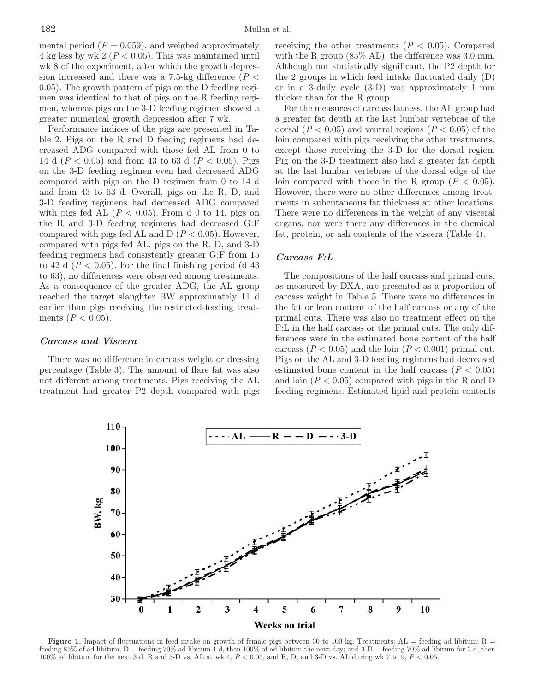mental period  $(P = 0.059)$ , and weighed approximately 4 kg less by wk 2 (*P* < 0.05). This was maintained until wk 8 of the experiment, after which the growth depression increased and there was a 7.5-kg difference ( $P <$ 0.05). The growth pattern of pigs on the D feeding regimen was identical to that of pigs on the R feeding regimen, whereas pigs on the 3-D feeding regimen showed a greater numerical growth depression after 7 wk.

Performance indices of the pigs are presented in Table 2. Pigs on the R and D feeding regimens had decreased ADG compared with those fed AL from 0 to 14 d (*P* < 0.05) and from 43 to 63 d (*P* < 0.05). Pigs on the 3-D feeding regimen even had decreased ADG compared with pigs on the D regimen from 0 to 14 d and from 43 to 63 d. Overall, pigs on the R, D, and 3-D feeding regimens had decreased ADG compared with pigs fed AL  $(P < 0.05)$ . From d 0 to 14, pigs on the R and 3-D feeding regimens had decreased G:F compared with pigs fed AL and D  $(P < 0.05)$ . However, compared with pigs fed AL, pigs on the R, D, and 3-D feeding regimens had consistently greater G:F from 15 to 42 d ( $P < 0.05$ ). For the final finishing period (d 43) to 63), no differences were observed among treatments. As a consequence of the greater ADG, the AL group reached the target slaughter BW approximately 11 d earlier than pigs receiving the restricted-feeding treatments  $(P < 0.05)$ .

# *Carcass and Viscera*

There was no difference in carcass weight or dressing percentage (Table 3). The amount of flare fat was also not different among treatments. Pigs receiving the AL treatment had greater P2 depth compared with pigs receiving the other treatments  $(P < 0.05)$ . Compared with the R group (85% AL), the difference was 3.0 mm. Although not statistically significant, the P2 depth for the 2 groups in which feed intake fluctuated daily (D) or in a 3-daily cycle (3-D) was approximately 1 mm thicker than for the R group.

For the measures of carcass fatness, the AL group had a greater fat depth at the last lumbar vertebrae of the dorsal  $(P < 0.05)$  and ventral regions  $(P < 0.05)$  of the loin compared with pigs receiving the other treatments, except those receiving the 3-D for the dorsal region. Pig on the 3-D treatment also had a greater fat depth at the last lumbar vertebrae of the dorsal edge of the loin compared with those in the R group  $(P < 0.05)$ . However, there were no other differences among treatments in subcutaneous fat thickness at other locations. There were no differences in the weight of any visceral organs, nor were there any differences in the chemical fat, protein, or ash contents of the viscera (Table 4).

#### *Carcass F:L*

The compositions of the half carcass and primal cuts, as measured by DXA, are presented as a proportion of carcass weight in Table 5. There were no differences in the fat or lean content of the half carcass or any of the primal cuts. There was also no treatment effect on the F:L in the half carcass or the primal cuts. The only differences were in the estimated bone content of the half carcass ( $P < 0.05$ ) and the loin ( $P < 0.001$ ) primal cut. Pigs on the AL and 3-D feeding regimens had decreased estimated bone content in the half carcass  $(P < 0.05)$ and loin  $(P < 0.05)$  compared with pigs in the R and D feeding regimens. Estimated lipid and protein contents



**Figure 1.** Impact of fluctuations in feed intake on growth of female pigs between 30 to 100 kg. Treatments:  $AL =$  feeding ad libitum;  $R =$ feeding 85% of ad libitum; D = feeding 70% ad libitum 1 d, then 100% of ad libitum the next day; and 3-D = feeding 70% ad libitum for 3 d, then 100% ad libitum for the next 3 d. R and 3-D vs. AL at wk 4, *P* < 0.05, and R, D, and 3-D vs. AL during wk 7 to 9, *P* < 0.05.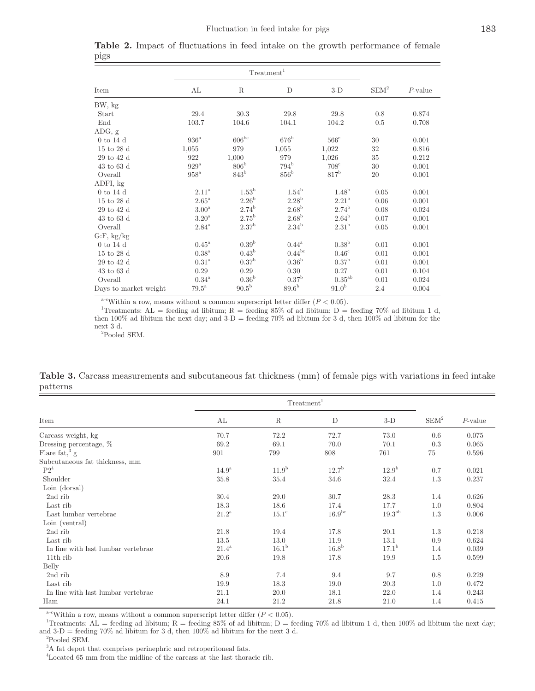| $\frac{1}{1}$         |                     |                   |                     |                     |         |            |
|-----------------------|---------------------|-------------------|---------------------|---------------------|---------|------------|
|                       |                     |                   |                     |                     |         |            |
| Item                  | AL                  | R                 | $\mathbf D$         | $3-D$               | $SEM^2$ | $P$ -value |
| BW, kg                |                     |                   |                     |                     |         |            |
| Start                 | 29.4                | 30.3              | 29.8                | 29.8                | 0.8     | 0.874      |
| End                   | 103.7               | 104.6             | 104.1               | 104.2               | 0.5     | 0.708      |
| ADG, g                |                     |                   |                     |                     |         |            |
| $0$ to 14 d           | $936^{\mathrm{a}}$  | $606^{bc}$        | $676^{\rm b}$       | $566^{\circ}$       | 30      | 0.001      |
| 15 to 28 d            | 1,055               | 979               | 1,055               | 1,022               | 32      | 0.816      |
| $29$ to $42$ d        | 922                 | 1,000             | 979                 | 1,026               | 35      | 0.212      |
| $43$ to $63$ d        | $929^{\mathrm{a}}$  | $806^{\rm b}$     | $794^{\rm b}$       | $708^{\rm c}$       | 30      | 0.001      |
| Overall               | $958^{\mathrm{a}}$  | $843^{\rm b}$     | $856^{\rm b}$       | $817^{\rm b}$       | 20      | 0.001      |
| ADFI, kg              |                     |                   |                     |                     |         |            |
| $0$ to 14 d           | $2.11^{\mathrm{a}}$ | $1.53^{\rm b}$    | $1.54^{\rm b}$      | 1.48 <sup>b</sup>   | 0.05    | 0.001      |
| 15 to 28 d            | $2.65^{\rm {a}}$    | 2.26 <sup>b</sup> | 2.28 <sup>b</sup>   | 2.21 <sup>b</sup>   | 0.06    | 0.001      |
| $29$ to $42$ d        | $3.00^{\rm a}$      | $2.74^{b}$        | $2.68^{\rm b}$      | $2.74^{\rm b}$      | 0.08    | 0.024      |
| $43$ to $63$ d        | $3.20^{\mathrm{a}}$ | $2.75^{\rm b}$    | $2.68^{\rm b}$      | $2.64^{\mathrm{b}}$ | 0.07    | 0.001      |
| Overall               | $2.84^{\mathrm{a}}$ | $2.37^{\rm b}$    | $2.34^{\rm b}$      | 2.31 <sup>b</sup>   | 0.05    | 0.001      |
| G.F, kg/kg            |                     |                   |                     |                     |         |            |
| $0$ to 14 d           | $0.45^{\mathrm{a}}$ | 0.39 <sup>b</sup> | $0.44^{\mathrm{a}}$ | 0.38 <sup>b</sup>   | 0.01    | 0.001      |
| 15 to 28 d            | $0.38^{\mathrm{a}}$ | 0.43 <sup>b</sup> | $0.44^{bc}$         | $0.46^{\circ}$      | 0.01    | 0.001      |
| 29 to 42 d            | $0.31^{\mathrm{a}}$ | 0.37 <sup>b</sup> | 0.36 <sup>b</sup>   | 0.37 <sup>b</sup>   | 0.01    | 0.001      |
| $43$ to $63$ d        | 0.29                | 0.29              | 0.30                | 0.27                | 0.01    | 0.104      |
| Overall               | $0.34^{\rm a}$      | 0.36 <sup>b</sup> | 0.37 <sup>b</sup>   | $0.35^{\rm ab}$     | 0.01    | 0.024      |
| Days to market weight | $79.5^{\mathrm{a}}$ | $90.5^{\rm b}$    | 89.6 <sup>b</sup>   | 91.0 <sup>b</sup>   | 2.4     | 0.004      |

**Table 2.** Impact of fluctuations in feed intake on the growth performance of female pigs

<sup>a-c</sup>Within a row, means without a common superscript letter differ  $(P < 0.05)$ .

<sup>1</sup>Treatments: AL = feeding ad libitum; R = feeding 85% of ad libitum; D = feeding 70% ad libitum 1 d, then 100% ad libitum the next day; and  $3-D =$  feeding 70% ad libitum for 3 d, then 100% ad libitum for the next 3 d.

2 Pooled SEM.

**Table 3.** Carcass measurements and subcutaneous fat thickness (mm) of female pigs with variations in feed intake patterns

|                                    | Treatment <sup>1</sup> |                   |                   |                 |         |            |
|------------------------------------|------------------------|-------------------|-------------------|-----------------|---------|------------|
| Item                               | AL                     | R                 | D                 | $3-D$           | $SEM^2$ | $P$ -value |
| Carcass weight, kg                 | 70.7                   | 72.2              | 72.7              | 73.0            | 0.6     | 0.075      |
| Dressing percentage, %             | 69.2                   | 69.1              | 70.0              | 70.1            | 0.3     | 0.065      |
| Flare $fat$ <sup>3</sup> g         | 901                    | 799               | 808               | 761             | 75      | 0.596      |
| Subcutaneous fat thickness, mm     |                        |                   |                   |                 |         |            |
| $P2^4$                             | 14.9 <sup>a</sup>      | 11.9 <sup>b</sup> | 12.7 <sup>b</sup> | $12.9^{\rm b}$  | 0.7     | 0.021      |
| Shoulder                           | 35.8                   | 35.4              | 34.6              | 32.4            | 1.3     | 0.237      |
| Loin (dorsal)                      |                        |                   |                   |                 |         |            |
| 2nd rib                            | 30.4                   | 29.0              | 30.7              | 28.3            | 1.4     | 0.626      |
| Last rib                           | 18.3                   | 18.6              | 17.4              | 17.7            | 1.0     | 0.804      |
| Last lumbar vertebrae              | $21.2^{\rm a}$         | $15.1^\circ$      | $16.9^{bc}$       | $19.3^{\rm ab}$ | 1.3     | 0.006      |
| Loin (ventral)                     |                        |                   |                   |                 |         |            |
| 2nd rib                            | 21.8                   | 19.4              | 17.8              | 20.1            | 1.3     | 0.218      |
| Last rib                           | 13.5                   | 13.0              | 11.9              | 13.1            | 0.9     | 0.624      |
| In line with last lumbar vertebrae | $21.4^{\mathrm{a}}$    | $16.1^{\rm b}$    | 16.8 <sup>b</sup> | $17.1^{\rm b}$  | 1.4     | 0.039      |
| 11th rib                           | 20.6                   | 19.8              | 17.8              | 19.9            | 1.5     | 0.599      |
| Belly                              |                        |                   |                   |                 |         |            |
| 2nd rib                            | 8.9                    | 7.4               | 9.4               | 9.7             | 0.8     | 0.229      |
| Last rib                           | 19.9                   | 18.3              | 19.0              | 20.3            | 1.0     | 0.472      |
| In line with last lumbar vertebrae | 21.1                   | 20.0              | 18.1              | 22.0            | 1.4     | 0.243      |
| Ham                                | 24.1                   | 21.2              | 21.8              | 21.0            | 1.4     | 0.415      |

<sup>a-c</sup>Within a row, means without a common superscript letter differ  $(P < 0.05)$ .

<sup>1</sup>Treatments: AL = feeding ad libitum; R = feeding 85% of ad libitum; D = feeding 70% ad libitum 1 d, then 100% ad libitum the next day; and  $3-D = \text{feeding } 70\%$  ad libitum for 3 d, then  $100\%$  ad libitum for the next 3 d.

<sup>3</sup>A fat depot that comprises perinephric and retroperitoneal fats.

4 Located 65 mm from the midline of the carcass at the last thoracic rib.

<sup>2</sup> Pooled SEM.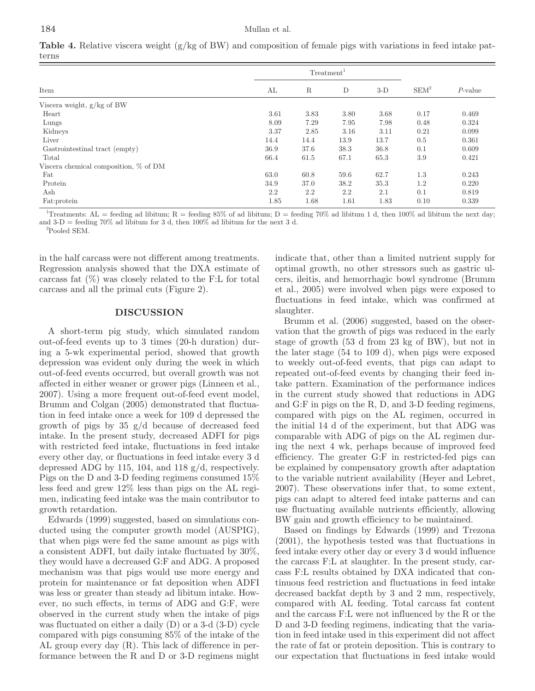|                                       | Treatment <sup>1</sup> |             |      |       |         |            |
|---------------------------------------|------------------------|-------------|------|-------|---------|------------|
| Item                                  | AL                     | $\mathbf R$ | D    | $3-D$ | $SEM^2$ | $P$ -value |
| Viscera weight, g/kg of BW            |                        |             |      |       |         |            |
| Heart                                 | 3.61                   | 3.83        | 3.80 | 3.68  | 0.17    | 0.469      |
| Lungs                                 | 8.09                   | 7.29        | 7.95 | 7.98  | 0.48    | 0.324      |
| Kidneys                               | 3.37                   | 2.85        | 3.16 | 3.11  | 0.21    | 0.099      |
| Liver                                 | 14.4                   | 14.4        | 13.9 | 13.7  | 0.5     | 0.361      |
| Gastrointestinal tract (empty)        | 36.9                   | 37.6        | 38.3 | 36.8  | 0.1     | 0.609      |
| Total                                 | 66.4                   | 61.5        | 67.1 | 65.3  | 3.9     | 0.421      |
| Viscera chemical composition, % of DM |                        |             |      |       |         |            |
| Fat                                   | 63.0                   | 60.8        | 59.6 | 62.7  | 1.3     | 0.243      |
| Protein                               | 34.9                   | 37.0        | 38.2 | 35.3  | 1.2     | 0.220      |
| Ash                                   | 2.2                    | 2.2         | 2.2  | 2.1   | 0.1     | 0.819      |
| Fat:protein                           | 1.85                   | 1.68        | 1.61 | 1.83  | 0.10    | 0.339      |

**Table 4.** Relative viscera weight (g/kg of BW) and composition of female pigs with variations in feed intake patterns

<sup>1</sup>Treatments: AL = feeding ad libitum; R = feeding 85% of ad libitum; D = feeding 70% ad libitum 1 d, then 100% ad libitum the next day; and  $3-D = \text{feeding } 70\%$  ad libitum for 3 d, then  $100\%$  ad libitum for the next 3 d.

2 Pooled SEM.

in the half carcass were not different among treatments. Regression analysis showed that the DXA estimate of carcass fat  $(\%)$  was closely related to the F:L for total carcass and all the primal cuts (Figure 2).

#### **DISCUSSION**

A short-term pig study, which simulated random out-of-feed events up to 3 times (20-h duration) during a 5-wk experimental period, showed that growth depression was evident only during the week in which out-of-feed events occurred, but overall growth was not affected in either weaner or grower pigs (Linneen et al., 2007). Using a more frequent out-of-feed event model, Brumm and Colgan (2005) demonstrated that fluctuation in feed intake once a week for 109 d depressed the growth of pigs by 35 g/d because of decreased feed intake. In the present study, decreased ADFI for pigs with restricted feed intake, fluctuations in feed intake every other day, or fluctuations in feed intake every 3 d depressed ADG by 115, 104, and 118 g/d, respectively. Pigs on the D and 3-D feeding regimens consumed 15% less feed and grew 12% less than pigs on the AL regimen, indicating feed intake was the main contributor to growth retardation.

Edwards (1999) suggested, based on simulations conducted using the computer growth model (AUSPIG), that when pigs were fed the same amount as pigs with a consistent ADFI, but daily intake fluctuated by 30%, they would have a decreased G:F and ADG. A proposed mechanism was that pigs would use more energy and protein for maintenance or fat deposition when ADFI was less or greater than steady ad libitum intake. However, no such effects, in terms of ADG and G:F, were observed in the current study when the intake of pigs was fluctuated on either a daily (D) or a 3-d (3-D) cycle compared with pigs consuming 85% of the intake of the AL group every day (R). This lack of difference in performance between the R and D or 3-D regimens might indicate that, other than a limited nutrient supply for optimal growth, no other stressors such as gastric ulcers, ileitis, and hemorrhagic bowl syndrome (Brumm et al., 2005) were involved when pigs were exposed to fluctuations in feed intake, which was confirmed at slaughter.

Brumm et al. (2006) suggested, based on the observation that the growth of pigs was reduced in the early stage of growth (53 d from 23 kg of BW), but not in the later stage (54 to 109 d), when pigs were exposed to weekly out-of-feed events, that pigs can adapt to repeated out-of-feed events by changing their feed intake pattern. Examination of the performance indices in the current study showed that reductions in ADG and G:F in pigs on the R, D, and 3-D feeding regimens, compared with pigs on the AL regimen, occurred in the initial 14 d of the experiment, but that ADG was comparable with ADG of pigs on the AL regimen during the next 4 wk, perhaps because of improved feed efficiency. The greater G:F in restricted-fed pigs can be explained by compensatory growth after adaptation to the variable nutrient availability (Heyer and Lebret, 2007). These observations infer that, to some extent, pigs can adapt to altered feed intake patterns and can use fluctuating available nutrients efficiently, allowing BW gain and growth efficiency to be maintained.

Based on findings by Edwards (1999) and Trezona (2001), the hypothesis tested was that fluctuations in feed intake every other day or every 3 d would influence the carcass F:L at slaughter. In the present study, carcass F:L results obtained by DXA indicated that continuous feed restriction and fluctuations in feed intake decreased backfat depth by 3 and 2 mm, respectively, compared with AL feeding. Total carcass fat content and the carcass F:L were not influenced by the R or the D and 3-D feeding regimens, indicating that the variation in feed intake used in this experiment did not affect the rate of fat or protein deposition. This is contrary to our expectation that fluctuations in feed intake would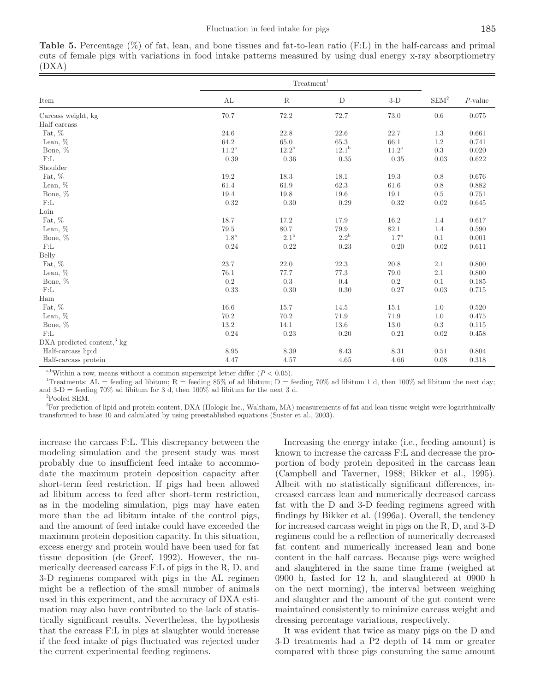**Table 5.** Percentage (%) of fat, lean, and bone tissues and fat-to-lean ratio (F:L) in the half-carcass and primal cuts of female pigs with variations in food intake patterns measured by using dual energy x-ray absorptiometry (DXA)

|                                          |                  | Treatment <sup>1</sup> |                |                  |               |            |
|------------------------------------------|------------------|------------------------|----------------|------------------|---------------|------------|
| Item                                     | AL               | $\rm R$                | $\mathbf D$    | $3-D$            | ${\rm SEM}^2$ | $P$ -value |
| Carcass weight, kg                       | $70.7\,$         | 72.2                   | 72.7           | 73.0             | $0.6\,$       | 0.075      |
| Half carcass                             |                  |                        |                |                  |               |            |
| Fat, %                                   | 24.6             | 22.8                   | $22.6\,$       | 22.7             | $1.3\,$       | 0.661      |
| Lean, $%$                                | 64.2             | 65.0                   | 65.3           | 66.1             | $1.2\,$       | 0.741      |
| Bone, %                                  | $11.2^{\rm a}$   | $12.2^{\rm b}$         | $12.1^{\rm b}$ | $11.2^{\rm a}$   | $\rm 0.3$     | 0.020      |
| F:L                                      | 0.39             | 0.36                   | 0.35           | $0.35\,$         | 0.03          | 0.622      |
| Shoulder                                 |                  |                        |                |                  |               |            |
| Fat, %                                   | $19.2\,$         | 18.3                   | 18.1           | 19.3             | 0.8           | 0.676      |
| Lean, $%$                                | 61.4             | 61.9                   | 62.3           | 61.6             | 0.8           | 0.882      |
| Bone, %                                  | 19.4             | 19.8                   | 19.6           | 19.1             | 0.5           | 0.751      |
| F:L                                      | 0.32             | 0.30                   | 0.29           | 0.32             | 0.02          | 0.645      |
| Loin                                     |                  |                        |                |                  |               |            |
| Fat, $\%$                                | 18.7             | 17.2                   | 17.9           | 16.2             | 1.4           | 0.617      |
| Lean, $%$                                | 79.5             | $80.7\,$               | 79.9           | $82.1\,$         | 1.4           | 0.590      |
| Bone, $\%$                               | 1.8 <sup>a</sup> | $2.1^{\rm b}$          | $2.2^{\rm b}$  | 1.7 <sup>a</sup> | 0.1           | 0.001      |
| F:L                                      | 0.24             | 0.22                   | 0.23           | 0.20             | 0.02          | 0.611      |
| Belly                                    |                  |                        |                |                  |               |            |
| Fat, %                                   | 23.7             | 22.0                   | 22.3           | $20.8\,$         | 2.1           | 0.800      |
| Lean, $\%$                               | 76.1             | 77.7                   | 77.3           | 79.0             | $2.1\,$       | 0.800      |
| Bone, %                                  | 0.2              | 0.3                    | 0.4            | 0.2              | 0.1           | 0.185      |
| F:L                                      | 0.33             | 0.30                   | 0.30           | 0.27             | 0.03          | 0.715      |
| Ham                                      |                  |                        |                |                  |               |            |
| Fat, $\%$                                | 16.6             | 15.7                   | 14.5           | 15.1             | 1.0           | 0.520      |
| Lean, $%$                                | 70.2             | 70.2                   | 71.9           | 71.9             | 1.0           | 0.475      |
| Bone, %                                  | $13.2\,$         | 14.1                   | 13.6           | $13.0\,$         | 0.3           | 0.115      |
| F:L                                      | 0.24             | 0.23                   | 0.20           | 0.21             | 0.02          | 0.458      |
| $DXA$ predicted content, <sup>3</sup> kg |                  |                        |                |                  |               |            |
| Half-carcass lipid                       | 8.95             | 8.39                   | 8.43           | 8.31             | 0.51          | 0.804      |
| Half-carcass protein                     | 4.47             | 4.57                   | 4.65           | 4.66             | 0.08          | 0.318      |

<sup>a,b</sup>Within a row, means without a common superscript letter differ  $(P < 0.05)$ .

<sup>1</sup>Treatments: AL = feeding ad libitum; R = feeding 85% of ad libitum; D = feeding 70% ad libitum 1 d, then 100% ad libitum the next day; and  $3-D$  = feeding 70% ad libitum for 3 d, then 100% ad libitum for the next 3 d.

2 Pooled SEM.

3 For prediction of lipid and protein content, DXA (Hologic Inc., Waltham, MA) measurements of fat and lean tissue weight were logarithmically transformed to base 10 and calculated by using preestablished equations (Suster et al., 2003).

increase the carcass F:L. This discrepancy between the modeling simulation and the present study was most probably due to insufficient feed intake to accommodate the maximum protein deposition capacity after short-term feed restriction. If pigs had been allowed ad libitum access to feed after short-term restriction, as in the modeling simulation, pigs may have eaten more than the ad libitum intake of the control pigs, and the amount of feed intake could have exceeded the maximum protein deposition capacity. In this situation, excess energy and protein would have been used for fat tissue deposition (de Greef, 1992). However, the numerically decreased carcass F:L of pigs in the R, D, and 3-D regimens compared with pigs in the AL regimen might be a reflection of the small number of animals used in this experiment, and the accuracy of DXA estimation may also have contributed to the lack of statistically significant results. Nevertheless, the hypothesis that the carcass F:L in pigs at slaughter would increase if the feed intake of pigs fluctuated was rejected under the current experimental feeding regimens.

Increasing the energy intake (i.e., feeding amount) is known to increase the carcass F:L and decrease the proportion of body protein deposited in the carcass lean (Campbell and Taverner, 1988; Bikker et al., 1995). Albeit with no statistically significant differences, increased carcass lean and numerically decreased carcass fat with the D and 3-D feeding regimens agreed with findings by Bikker et al. (1996a). Overall, the tendency for increased carcass weight in pigs on the R, D, and 3-D regimens could be a reflection of numerically decreased fat content and numerically increased lean and bone content in the half carcass. Because pigs were weighed and slaughtered in the same time frame (weighed at 0900 h, fasted for 12 h, and slaughtered at 0900 h on the next morning), the interval between weighing and slaughter and the amount of the gut content were maintained consistently to minimize carcass weight and dressing percentage variations, respectively.

It was evident that twice as many pigs on the D and 3-D treatments had a P2 depth of 14 mm or greater compared with those pigs consuming the same amount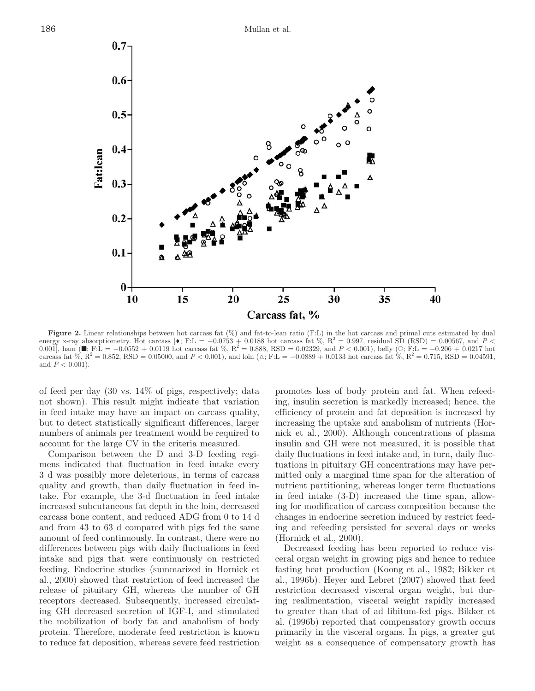

**Figure 2.** Linear relationships between hot carcass fat (%) and fat-to-lean ratio (F:L) in the hot carcass and primal cuts estimated by dual energy x-ray absorptiometry. Hot carcass [◆; F:L = -0.0753 + 0.0188 hot carcass fat %, R<sup>2</sup> = 0.997, residual SD (RSD) = 0.00567, and P < 0.001], ham (■; F:L = -0.0552 + 0.0119 hot carcass fat %, R<sup>2</sup> = 0.888, RSD = 0.02 carcass fat %,  $R^2 = 0.852$ , RSD = 0.05000, and *P* < 0.001), and loin  $(\triangle; F: L = -0.0889 + 0.0133$  hot carcass fat %,  $R^2 = 0.715$ , RSD = 0.04591, and  $P < 0.001$ ).

of feed per day (30 vs. 14% of pigs, respectively; data not shown). This result might indicate that variation in feed intake may have an impact on carcass quality, but to detect statistically significant differences, larger numbers of animals per treatment would be required to account for the large CV in the criteria measured.

Comparison between the D and 3-D feeding regimens indicated that fluctuation in feed intake every 3 d was possibly more deleterious, in terms of carcass quality and growth, than daily fluctuation in feed intake. For example, the 3-d fluctuation in feed intake increased subcutaneous fat depth in the loin, decreased carcass bone content, and reduced ADG from 0 to 14 d and from 43 to 63 d compared with pigs fed the same amount of feed continuously. In contrast, there were no differences between pigs with daily fluctuations in feed intake and pigs that were continuously on restricted feeding. Endocrine studies (summarized in Hornick et al., 2000) showed that restriction of feed increased the release of pituitary GH, whereas the number of GH receptors decreased. Subsequently, increased circulating GH decreased secretion of IGF-I, and stimulated the mobilization of body fat and anabolism of body protein. Therefore, moderate feed restriction is known to reduce fat deposition, whereas severe feed restriction promotes loss of body protein and fat. When refeeding, insulin secretion is markedly increased; hence, the efficiency of protein and fat deposition is increased by increasing the uptake and anabolism of nutrients (Hornick et al., 2000). Although concentrations of plasma insulin and GH were not measured, it is possible that daily fluctuations in feed intake and, in turn, daily fluctuations in pituitary GH concentrations may have permitted only a marginal time span for the alteration of nutrient partitioning, whereas longer term fluctuations in feed intake (3-D) increased the time span, allowing for modification of carcass composition because the changes in endocrine secretion induced by restrict feeding and refeeding persisted for several days or weeks (Hornick et al., 2000).

Decreased feeding has been reported to reduce visceral organ weight in growing pigs and hence to reduce fasting heat production (Koong et al., 1982; Bikker et al., 1996b). Heyer and Lebret (2007) showed that feed restriction decreased visceral organ weight, but during realimentation, visceral weight rapidly increased to greater than that of ad libitum-fed pigs. Bikker et al. (1996b) reported that compensatory growth occurs primarily in the visceral organs. In pigs, a greater gut weight as a consequence of compensatory growth has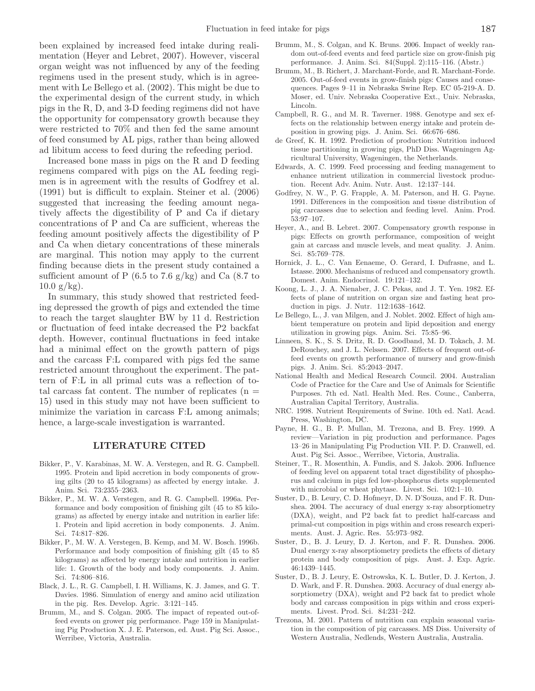been explained by increased feed intake during realimentation (Heyer and Lebret, 2007). However, visceral organ weight was not influenced by any of the feeding regimens used in the present study, which is in agreement with Le Bellego et al. (2002). This might be due to the experimental design of the current study, in which pigs in the R, D, and 3-D feeding regimens did not have the opportunity for compensatory growth because they were restricted to 70% and then fed the same amount of feed consumed by AL pigs, rather than being allowed ad libitum access to feed during the refeeding period.

Increased bone mass in pigs on the R and D feeding regimens compared with pigs on the AL feeding regimen is in agreement with the results of Godfrey et al. (1991) but is difficult to explain. Steiner et al. (2006) suggested that increasing the feeding amount negatively affects the digestibility of P and Ca if dietary concentrations of P and Ca are sufficient, whereas the feeding amount positively affects the digestibility of P and Ca when dietary concentrations of these minerals are marginal. This notion may apply to the current finding because diets in the present study contained a sufficient amount of P  $(6.5 \text{ to } 7.6 \text{ g/kg})$  and Ca  $(8.7 \text{ to } 7.6 \text{ g/kg})$  $10.0 \text{ g/kg}$ .

In summary, this study showed that restricted feeding depressed the growth of pigs and extended the time to reach the target slaughter BW by 11 d. Restriction or fluctuation of feed intake decreased the P2 backfat depth. However, continual fluctuations in feed intake had a minimal effect on the growth pattern of pigs and the carcass F:L compared with pigs fed the same restricted amount throughout the experiment. The pattern of F:L in all primal cuts was a reflection of total carcass fat content. The number of replicates  $(n =$ 15) used in this study may not have been sufficient to minimize the variation in carcass F:L among animals; hence, a large-scale investigation is warranted.

# **LITERATURE CITED**

- Bikker, P., V. Karabinas, M. W. A. Verstegen, and R. G. Campbell. 1995. Protein and lipid accretion in body components of growing gilts (20 to 45 kilograms) as affected by energy intake. J. Anim. Sci. 73:2355–2363.
- Bikker, P., M. W. A. Verstegen, and R. G. Campbell. 1996a. Performance and body composition of finishing gilt (45 to 85 kilograms) as affected by energy intake and nutrition in earlier life: 1. Protein and lipid accretion in body components. J. Anim. Sci. 74:817–826.
- Bikker, P., M. W. A. Verstegen, B. Kemp, and M. W. Bosch. 1996b. Performance and body composition of finishing gilt (45 to 85 kilograms) as affected by energy intake and nutrition in earlier life: 1. Growth of the body and body components. J. Anim. Sci. 74:806–816.
- Black, J. L., R. G. Campbell, I. H. Williams, K. J. James, and G. T. Davies. 1986. Simulation of energy and amino acid utilization in the pig. Res. Develop. Agric. 3:121–145.
- Brumm, M., and S. Colgan. 2005. The impact of repeated out-offeed events on grower pig performance. Page 159 in Manipulating Pig Production X. J. E. Paterson, ed. Aust. Pig Sci. Assoc., Werribee, Victoria, Australia.
- Brumm, M., S. Colgan, and K. Bruns. 2006. Impact of weekly random out-of-feed events and feed particle size on grow-finish pig performance. J. Anim. Sci. 84(Suppl. 2):115–116. (Abstr.)
- Brumm, M., B. Richert, J. Marchant-Forde, and R. Marchant-Forde. 2005. Out-of-feed events in grow-finish pigs: Causes and consequences. Pages 9–11 in Nebraska Swine Rep. EC 05-219-A. D. Moser, ed. Univ. Nebraska Cooperative Ext., Univ. Nebraska, Lincoln.
- Campbell, R. G., and M. R. Taverner. 1988. Genotype and sex effects on the relationship between energy intake and protein deposition in growing pigs. J. Anim. Sci. 66:676–686.
- de Greef, K. H. 1992. Prediction of production: Nutrition induced tissue partitioning in growing pigs, PhD Diss. Wageningen Agricultural University, Wageningen, the Netherlands.
- Edwards, A. C. 1999. Feed processing and feeding management to enhance nutrient utilization in commercial livestock production. Recent Adv. Anim. Nutr. Aust. 12:137–144.
- Godfrey, N. W., P. G. Frapple, A. M. Paterson, and H. G. Payne. 1991. Differences in the composition and tissue distribution of pig carcasses due to selection and feeding level. Anim. Prod. 53:97–107.
- Heyer, A., and B. Lebret. 2007. Compensatory growth response in pigs: Effects on growth performance, composition of weight gain at carcass and muscle levels, and meat quality. J. Anim. Sci. 85:769–778.
- Hornick, J. L., C. Van Eenaeme, O. Gerard, I. Dufrasne, and L. Istasse. 2000. Mechanisms of reduced and compensatory growth. Domest. Anim. Endocrinol. 19:121–132.
- Koong, L. J., J. A. Nienaber, J. C. Pekas, and J. T. Yen. 1982. Effects of plane of nutrition on organ size and fasting heat production in pigs. J. Nutr. 112:1638–1642.
- Le Bellego, L., J. van Milgen, and J. Noblet. 2002. Effect of high ambient temperature on protein and lipid deposition and energy utilization in growing pigs. Anim. Sci. 75:85–96.
- Linneen, S. K., S. S. Dritz, R. D. Goodband, M. D. Tokach, J. M. DeRouchey, and J. L. Nelssen. 2007. Effects of frequent out-offeed events on growth performance of nursery and grow-finish pigs. J. Anim. Sci. 85:2043–2047.
- National Health and Medical Research Council. 2004. Australian Code of Practice for the Care and Use of Animals for Scientific Purposes. 7th ed. Natl. Health Med. Res. Counc., Canberra, Australian Capital Territory, Australia.
- NRC. 1998. Nutrient Requirements of Swine. 10th ed. Natl. Acad. Press, Washington, DC.
- Payne, H. G., B. P. Mullan, M. Trezona, and B. Frey. 1999. A review—Variation in pig production and performance. Pages 13–26 in Manipulating Pig Production VII. P. D. Cranwell, ed. Aust. Pig Sci. Assoc., Werribee, Victoria, Australia.
- Steiner, T., R. Mosenthin, A. Fundis, and S. Jakob. 2006. Influence of feeding level on apparent total tract digestibility of phosphorus and calcium in pigs fed low-phosphorus diets supplemented with microbial or wheat phytase. Livest. Sci. 102:1–10.
- Suster, D., B. Leury, C. D. Hofmeyr, D. N. D'Souza, and F. R. Dunshea. 2004. The accuracy of dual energy x-ray absorptiometry (DXA), weight, and P2 back fat to predict half-carcass and primal-cut composition in pigs within and cross research experiments. Aust. J. Agric. Res. 55:973–982.
- Suster, D., B. J. Leury, D. J. Kerton, and F. R. Dunshea. 2006. Dual energy x-ray absorptiometry predicts the effects of dietary protein and body composition of pigs. Aust. J. Exp. Agric. 46:1439–1445.
- Suster, D., B. J. Leury, E. Ostrowska, K. L. Butler, D. J. Kerton, J. D. Wark, and F. R. Dunshea. 2003. Accuracy of dual energy absorptiometry (DXA), weight and P2 back fat to predict whole body and carcass composition in pigs within and cross experiments. Livest. Prod. Sci. 84:231–242.
- Trezona, M. 2001. Pattern of nutrition can explain seasonal variation in the composition of pig carcasses. MS Diss. University of Western Australia, Nedlends, Western Australia, Australia.